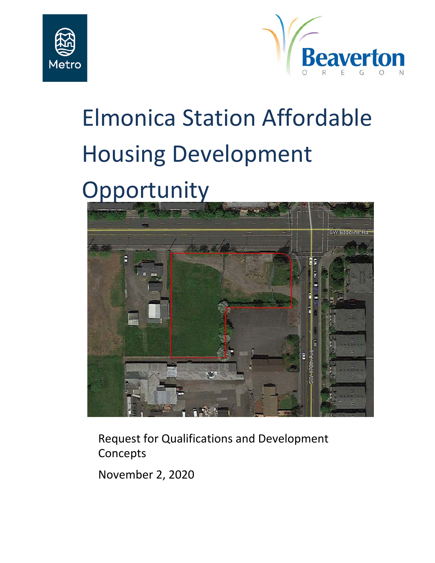



# Elmonica Station Affordable Housing Development

# **Opportunity**



Request for Qualifications and Development Concepts

November 2, 2020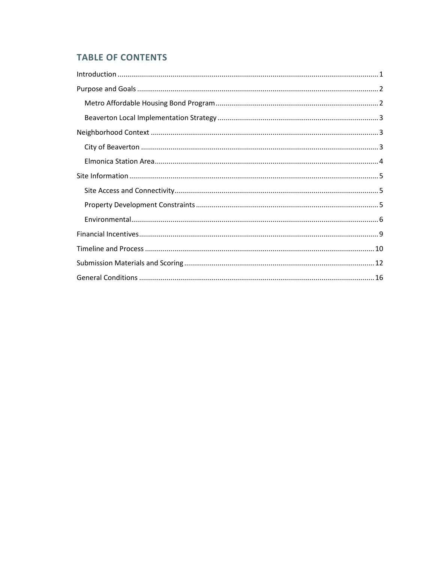# **TABLE OF CONTENTS**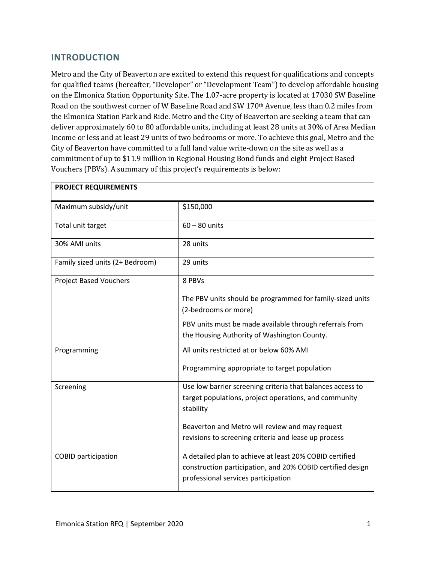# <span id="page-4-0"></span>**INTRODUCTION**

Metro and the City of Beaverton are excited to extend this request for qualifications and concepts for qualified teams (hereafter, "Developer" or "Development Team") to develop affordable housing on the Elmonica Station Opportunity Site. The 1.07-acre property is located at 17030 SW Baseline Road on the southwest corner of W Baseline Road and SW 170<sup>th</sup> Avenue, less than 0.2 miles from the Elmonica Station Park and Ride. Metro and the City of Beaverton are seeking a team that can deliver approximately 60 to 80 affordable units, including at least 28 units at 30% of Area Median Income or less and at least 29 units of two bedrooms or more. To achieve this goal, Metro and the City of Beaverton have committed to a full land value write-down on the site as well as a commitment of up to \$11.9 million in Regional Housing Bond funds and eight Project Based Vouchers (PBVs). A summary of this project's requirements is below:

| <b>PROJECT REQUIREMENTS</b>     |                                                                                                                                                              |
|---------------------------------|--------------------------------------------------------------------------------------------------------------------------------------------------------------|
| Maximum subsidy/unit            | \$150,000                                                                                                                                                    |
| Total unit target               | $60 - 80$ units                                                                                                                                              |
| 30% AMI units                   | 28 units                                                                                                                                                     |
| Family sized units (2+ Bedroom) | 29 units                                                                                                                                                     |
| <b>Project Based Vouchers</b>   | 8 PBVs                                                                                                                                                       |
|                                 | The PBV units should be programmed for family-sized units<br>(2-bedrooms or more)                                                                            |
|                                 | PBV units must be made available through referrals from<br>the Housing Authority of Washington County.                                                       |
| Programming                     | All units restricted at or below 60% AMI                                                                                                                     |
|                                 | Programming appropriate to target population                                                                                                                 |
| Screening                       | Use low barrier screening criteria that balances access to                                                                                                   |
|                                 | target populations, project operations, and community<br>stability                                                                                           |
|                                 | Beaverton and Metro will review and may request                                                                                                              |
|                                 | revisions to screening criteria and lease up process                                                                                                         |
| <b>COBID participation</b>      | A detailed plan to achieve at least 20% COBID certified<br>construction participation, and 20% COBID certified design<br>professional services participation |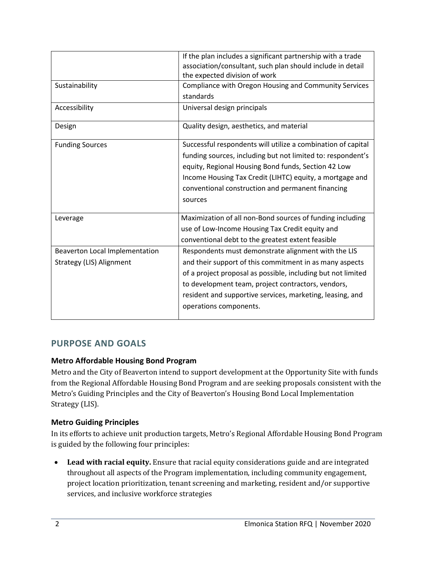|                                | If the plan includes a significant partnership with a trade<br>association/consultant, such plan should include in detail<br>the expected division of work |
|--------------------------------|------------------------------------------------------------------------------------------------------------------------------------------------------------|
| Sustainability                 | Compliance with Oregon Housing and Community Services                                                                                                      |
|                                | standards                                                                                                                                                  |
| Accessibility                  | Universal design principals                                                                                                                                |
| Design                         | Quality design, aesthetics, and material                                                                                                                   |
| <b>Funding Sources</b>         | Successful respondents will utilize a combination of capital                                                                                               |
|                                | funding sources, including but not limited to: respondent's                                                                                                |
|                                | equity, Regional Housing Bond funds, Section 42 Low                                                                                                        |
|                                | Income Housing Tax Credit (LIHTC) equity, a mortgage and                                                                                                   |
|                                | conventional construction and permanent financing                                                                                                          |
|                                | sources                                                                                                                                                    |
| Leverage                       | Maximization of all non-Bond sources of funding including                                                                                                  |
|                                | use of Low-Income Housing Tax Credit equity and                                                                                                            |
|                                | conventional debt to the greatest extent feasible                                                                                                          |
| Beaverton Local Implementation | Respondents must demonstrate alignment with the LIS                                                                                                        |
| Strategy (LIS) Alignment       | and their support of this commitment in as many aspects                                                                                                    |
|                                | of a project proposal as possible, including but not limited                                                                                               |
|                                | to development team, project contractors, vendors,                                                                                                         |
|                                | resident and supportive services, marketing, leasing, and                                                                                                  |
|                                | operations components.                                                                                                                                     |
|                                |                                                                                                                                                            |

# <span id="page-5-0"></span>**PURPOSE AND GOALS**

### <span id="page-5-1"></span>**Metro Affordable Housing Bond Program**

Metro and the City of Beaverton intend to support development at the Opportunity Site with funds from the Regional Affordable Housing Bond Program and are seeking proposals consistent with the Metro's Guiding Principles and the City of Beaverton's Housing Bond Local Implementation Strategy (LIS).

### **Metro Guiding Principles**

In its efforts to achieve unit production targets, Metro's Regional Affordable Housing Bond Program is guided by the following four principles:

• **Lead with racial equity.** Ensure that racial equity considerations guide and are integrated throughout all aspects of the Program implementation, including community engagement, project location prioritization, tenant screening and marketing, resident and/or supportive services, and inclusive workforce strategies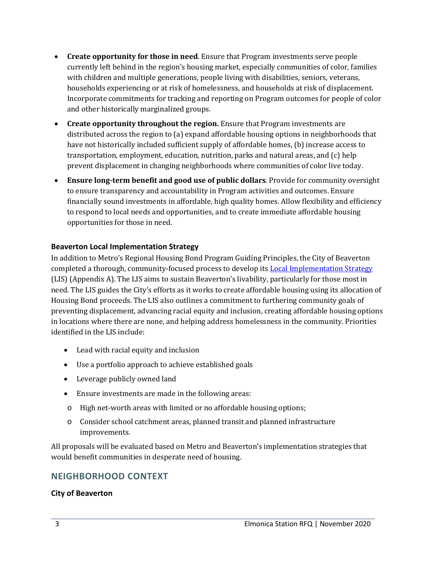- **Create opportunity for those in need**. Ensure that Program investments serve people currently left behind in the region's housing market, especially communities of color, families with children and multiple generations, people living with disabilities, seniors, veterans, households experiencing or at risk of homelessness, and households at risk of displacement. Incorporate commitments for tracking and reporting on Program outcomes for people of color and other historically marginalized groups.
- **Create opportunity throughout the region.** Ensure that Program investments are distributed across the region to (a) expand affordable housing options in neighborhoods that have not historically included sufficient supply of affordable homes, (b) increase access to transportation, employment, education, nutrition, parks and natural areas, and (c) help prevent displacement in changing neighborhoods where communities of color live today.
- **Ensure long-term benefit and good use of public dollars**. Provide for community oversight to ensure transparency and accountability in Program activities and outcomes. Ensure financially sound investments in affordable, high quality homes. Allow flexibility and efficiency to respond to local needs and opportunities, and to create immediate affordable housing opportunities for those in need.

#### <span id="page-6-0"></span>**Beaverton Local Implementation Strategy**

In addition to Metro's Regional Housing Bond Program Guiding Principles, the City of Beaverton completed a thorough, community-focused process to develop its **Local Implementation Strategy** (LIS) (Appendix A). The LIS aims to sustain Beaverton's livability, particularly for those most in need. The LIS guides the City's efforts as it works to create affordable housing using its allocation of Housing Bond proceeds. The LIS also outlines a commitment to furthering community goals of preventing displacement, advancing racial equity and inclusion, creating affordable housing options in locations where there are none, and helping address homelessness in the community. Priorities identified in the LIS include:

- Lead with racial equity and inclusion
- Use a portfolio approach to achieve established goals
- Leverage publicly owned land
- Ensure investments are made in the following areas:
- o High net-worth areas with limited or no affordable housing options;
- o Consider school catchment areas, planned transit and planned infrastructure improvements.

All proposals will be evaluated based on Metro and Beaverton's implementation strategies that would benefit communities in desperate need of housing.

# <span id="page-6-1"></span>**NEIGHBORHOOD CONTEXT**

#### <span id="page-6-2"></span>**City of Beaverton**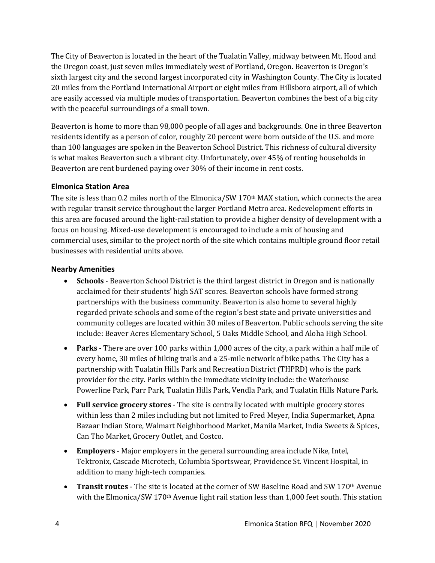The City of Beaverton is located in the heart of the Tualatin Valley, midway between Mt. Hood and the Oregon coast, just seven miles immediately west of Portland, Oregon. Beaverton is Oregon's sixth largest city and the second largest incorporated city in Washington County. The City is located 20 miles from the Portland International Airport or eight miles from Hillsboro airport, all of which are easily accessed via multiple modes of transportation. Beaverton combines the best of a big city with the peaceful surroundings of a small town.

Beaverton is home to more than 98,000 people of all ages and backgrounds. One in three Beaverton residents identify as a person of color, roughly 20 percent were born outside of the U.S. and more than 100 languages are spoken in the Beaverton School District. This richness of cultural diversity is what makes Beaverton such a vibrant city. Unfortunately, over 45% of renting households in Beaverton are rent burdened paying over 30% of their income in rent costs.

#### <span id="page-7-0"></span>**Elmonica Station Area**

The site is less than 0.2 miles north of the Elmonica/SW 170th MAX station, which connects the area with regular transit service throughout the larger Portland Metro area. Redevelopment efforts in this area are focused around the light-rail station to provide a higher density of development with a focus on housing. Mixed-use development is encouraged to include a mix of housing and commercial uses, similar to the project north of the site which contains multiple ground floor retail businesses with residential units above.

#### **Nearby Amenities**

- **Schools** Beaverton School District is the third largest district in Oregon and is nationally acclaimed for their students' high SAT scores. Beaverton schools have formed strong partnerships with the business community. Beaverton is also home to several highly regarded private schools and some of the region's best state and private universities and community colleges are located within 30 miles of Beaverton. Public schools serving the site include: Beaver Acres Elementary School, 5 Oaks Middle School, and Aloha High School.
- **Parks** There are over 100 parks within 1,000 acres of the city, a park within a half mile of every home, 30 miles of hiking trails and a 25-mile network of bike paths. The City has a partnership with Tualatin Hills Park and Recreation District (THPRD) who is the park provider for the city. Parks within the immediate vicinity include: the Waterhouse Powerline Park, Parr Park, Tualatin Hills Park, Vendla Park, and Tualatin Hills Nature Park.
- **Full service grocery stores** The site is centrally located with multiple grocery stores within less than 2 miles including but not limited to Fred Meyer, India Supermarket, Apna Bazaar Indian Store, Walmart Neighborhood Market, Manila Market, India Sweets & Spices, Can Tho Market, Grocery Outlet, and Costco.
- **Employers** Major employers in the general surrounding area include Nike, Intel, Tektronix, Cascade Microtech, Columbia Sportswear, Providence St. Vincent Hospital, in addition to many high-tech companies.
- **Transit routes**  The site is located at the corner of SW Baseline Road and SW 170th Avenue with the Elmonica/SW 170<sup>th</sup> Avenue light rail station less than 1,000 feet south. This station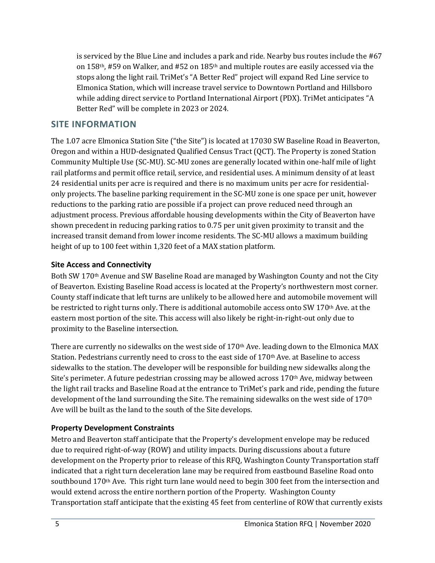is serviced by the Blue Line and includes a park and ride. Nearby bus routes include the #67 on 158th, #59 on Walker, and #52 on 185th and multiple routes are easily accessed via the stops along the light rail. TriMet's "A Better Red" project will expand Red Line service to Elmonica Station, which will increase travel service to Downtown Portland and Hillsboro while adding direct service to Portland International Airport (PDX). TriMet anticipates "A Better Red" will be complete in 2023 or 2024.

# <span id="page-8-0"></span>**SITE INFORMATION**

The 1.07 acre Elmonica Station Site ("the Site") is located at 17030 SW Baseline Road in Beaverton, Oregon and within a HUD-designated Qualified Census Tract (QCT). The Property is zoned Station Community Multiple Use (SC-MU). SC-MU zones are generally located within one-half mile of light rail platforms and permit office retail, service, and residential uses. A minimum density of at least 24 residential units per acre is required and there is no maximum units per acre for residentialonly projects. The baseline parking requirement in the SC-MU zone is one space per unit, however reductions to the parking ratio are possible if a project can prove reduced need through an adjustment process. Previous affordable housing developments within the City of Beaverton have shown precedent in reducing parking ratios to 0.75 per unit given proximity to transit and the increased transit demand from lower income residents. The SC-MU allows a maximum building height of up to 100 feet within 1,320 feet of a MAX station platform.

#### <span id="page-8-1"></span>**Site Access and Connectivity**

Both SW 170th Avenue and SW Baseline Road are managed by Washington County and not the City of Beaverton. Existing Baseline Road access is located at the Property's northwestern most corner. County staff indicate that left turns are unlikely to be allowed here and automobile movement will be restricted to right turns only. There is additional automobile access onto SW 170th Ave. at the eastern most portion of the site. This access will also likely be right-in-right-out only due to proximity to the Baseline intersection.

There are currently no sidewalks on the west side of 170<sup>th</sup> Ave. leading down to the Elmonica MAX Station. Pedestrians currently need to cross to the east side of 170th Ave. at Baseline to access sidewalks to the station. The developer will be responsible for building new sidewalks along the Site's perimeter. A future pedestrian crossing may be allowed across  $170<sup>th</sup>$  Ave, midway between the light rail tracks and Baseline Road at the entrance to TriMet's park and ride, pending the future development of the land surrounding the Site. The remaining sidewalks on the west side of 170th Ave will be built as the land to the south of the Site develops.

### <span id="page-8-2"></span>**Property Development Constraints**

Metro and Beaverton staff anticipate that the Property's development envelope may be reduced due to required right-of-way (ROW) and utility impacts. During discussions about a future development on the Property prior to release of this RFQ, Washington County Transportation staff indicated that a right turn deceleration lane may be required from eastbound Baseline Road onto southbound 170<sup>th</sup> Ave. This right turn lane would need to begin 300 feet from the intersection and would extend across the entire northern portion of the Property. Washington County Transportation staff anticipate that the existing 45 feet from centerline of ROW that currently exists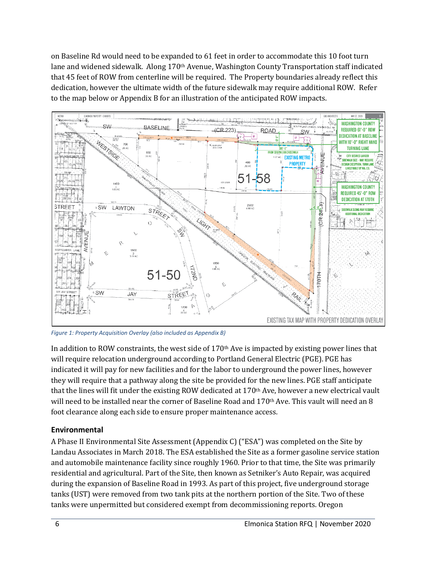on Baseline Rd would need to be expanded to 61 feet in order to accommodate this 10 foot turn lane and widened sidewalk. Along 170th Avenue, Washington County Transportation staff indicated that 45 feet of ROW from centerline will be required. The Property boundaries already reflect this dedication, however the ultimate width of the future sidewalk may require additional ROW. Refer to the map below or Appendix B for an illustration of the anticipated ROW impacts.



*Figure 1: Property Acquisition Overlay (also included as Appendix B)*

In addition to ROW constraints, the west side of  $170<sup>th</sup>$  Ave is impacted by existing power lines that will require relocation underground according to Portland General Electric (PGE). PGE has indicated it will pay for new facilities and for the labor to underground the power lines, however they will require that a pathway along the site be provided for the new lines. PGE staff anticipate that the lines will fit under the existing ROW dedicated at 170th Ave, however a new electrical vault will need to be installed near the corner of Baseline Road and 170<sup>th</sup> Ave. This vault will need an 8 foot clearance along each side to ensure proper maintenance access.

### <span id="page-9-0"></span>**Environmental**

A Phase II Environmental Site Assessment (Appendix C) ("ESA") was completed on the Site by Landau Associates in March 2018. The ESA established the Site as a former gasoline service station and automobile maintenance facility since roughly 1960. Prior to that time, the Site was primarily residential and agricultural. Part of the Site, then known as Setniker's Auto Repair, was acquired during the expansion of Baseline Road in 1993. As part of this project, five underground storage tanks (UST) were removed from two tank pits at the northern portion of the Site. Two of these tanks were unpermitted but considered exempt from decommissioning reports. Oregon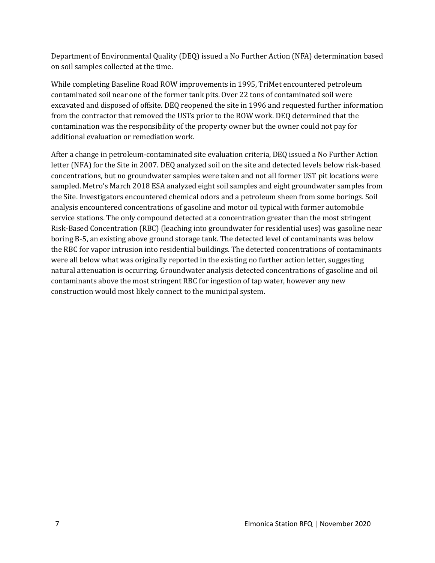Department of Environmental Quality (DEQ) issued a No Further Action (NFA) determination based on soil samples collected at the time.

While completing Baseline Road ROW improvements in 1995, TriMet encountered petroleum contaminated soil near one of the former tank pits. Over 22 tons of contaminated soil were excavated and disposed of offsite. DEQ reopened the site in 1996 and requested further information from the contractor that removed the USTs prior to the ROW work. DEQ determined that the contamination was the responsibility of the property owner but the owner could not pay for additional evaluation or remediation work.

After a change in petroleum-contaminated site evaluation criteria, DEQ issued a No Further Action letter (NFA) for the Site in 2007. DEQ analyzed soil on the site and detected levels below risk-based concentrations, but no groundwater samples were taken and not all former UST pit locations were sampled. Metro's March 2018 ESA analyzed eight soil samples and eight groundwater samples from the Site. Investigators encountered chemical odors and a petroleum sheen from some borings. Soil analysis encountered concentrations of gasoline and motor oil typical with former automobile service stations. The only compound detected at a concentration greater than the most stringent Risk-Based Concentration (RBC) (leaching into groundwater for residential uses) was gasoline near boring B-5, an existing above ground storage tank. The detected level of contaminants was below the RBC for vapor intrusion into residential buildings. The detected concentrations of contaminants were all below what was originally reported in the existing no further action letter, suggesting natural attenuation is occurring. Groundwater analysis detected concentrations of gasoline and oil contaminants above the most stringent RBC for ingestion of tap water, however any new construction would most likely connect to the municipal system.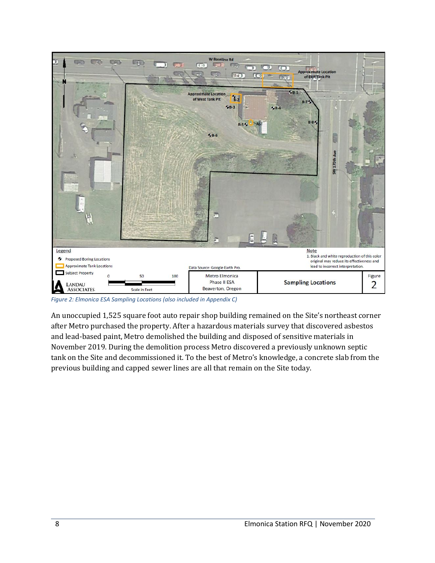

*Figure 2: Elmonica ESA Sampling Locations (also included in Appendix C)*

An unoccupied 1,525 square foot auto repair shop building remained on the Site's northeast corner after Metro purchased the property. After a hazardous materials survey that discovered asbestos and lead-based paint, Metro demolished the building and disposed of sensitive materials in November 2019. During the demolition process Metro discovered a previously unknown septic tank on the Site and decommissioned it. To the best of Metro's knowledge, a concrete slab from the previous building and capped sewer lines are all that remain on the Site today.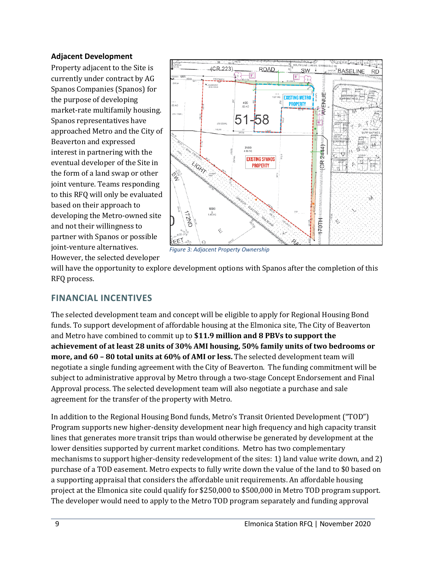#### **Adjacent Development**

Property adjacent to the Site is currently under contract by AG Spanos Companies (Spanos) for the purpose of developing market-rate multifamily housing. Spanos representatives have approached Metro and the City of Beaverton and expressed interest in partnering with the eventual developer of the Site in the form of a land swap or other joint venture. Teams responding to this RFQ will only be evaluated based on their approach to developing the Metro-owned site and not their willingness to partner with Spanos or possible joint-venture alternatives. However, the selected developer



*Figure 3: Adjacent Property Ownership*

will have the opportunity to explore development options with Spanos after the completion of this RFQ process.

# <span id="page-12-0"></span>**FINANCIAL INCENTIVES**

The selected development team and concept will be eligible to apply for Regional Housing Bond funds. To support development of affordable housing at the Elmonica site, The City of Beaverton and Metro have combined to commit up to **\$11.9 million and 8 PBVs to support the achievement of at least 28 units of 30% AMI housing, 50% family units of two bedrooms or more, and 60 – 80 total units at 60% of AMI or less.** The selected development team will negotiate a single funding agreement with the City of Beaverton. The funding commitment will be subject to administrative approval by Metro through a two-stage Concept Endorsement and Final Approval process. The selected development team will also negotiate a purchase and sale agreement for the transfer of the property with Metro.

In addition to the Regional Housing Bond funds, Metro's Transit Oriented Development ("TOD") Program supports new higher-density development near high frequency and high capacity transit lines that generates more transit trips than would otherwise be generated by development at the lower densities supported by current market conditions. Metro has two complementary mechanisms to support higher-density redevelopment of the sites: 1) land value write down, and 2) purchase of a TOD easement. Metro expects to fully write down the value of the land to \$0 based on a supporting appraisal that considers the affordable unit requirements. An affordable housing project at the Elmonica site could qualify for \$250,000 to \$500,000 in Metro TOD program support. The developer would need to apply to the Metro TOD program separately and funding approval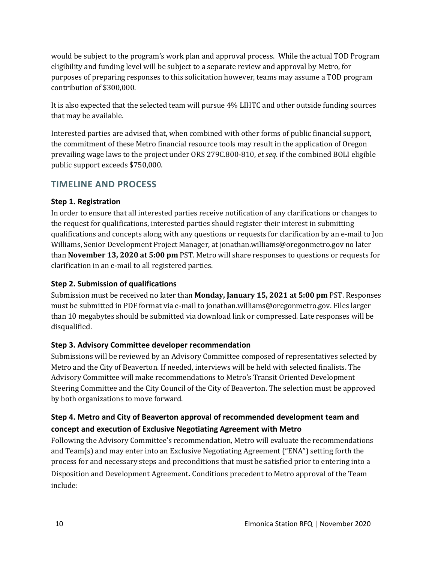would be subject to the program's work plan and approval process. While the actual TOD Program eligibility and funding level will be subject to a separate review and approval by Metro, for purposes of preparing responses to this solicitation however, teams may assume a TOD program contribution of \$300,000.

It is also expected that the selected team will pursue 4% LIHTC and other outside funding sources that may be available.

Interested parties are advised that, when combined with other forms of public financial support, the commitment of these Metro financial resource tools may result in the application of Oregon prevailing wage laws to the project under ORS 279C.800-810, *et seq*. if the combined BOLI eligible public support exceeds \$750,000.

# <span id="page-13-0"></span>**TIMELINE AND PROCESS**

# **Step 1. Registration**

In order to ensure that all interested parties receive notification of any clarifications or changes to the request for qualifications, interested parties should register their interest in submitting qualifications and concepts along with any questions or requests for clarification by an e-mail to Jon Williams, Senior Development Project Manager, at jonathan.williams@oregonmetro.gov no later than **November 13, 2020 at 5:00 pm** PST. Metro will share responses to questions or requests for clarification in an e-mail to all registered parties.

# **Step 2. Submission of qualifications**

Submission must be received no later than **Monday, January 15, 2021 at 5:00 pm** PST. Responses must be submitted in PDF format via e-mail to jonathan.williams@oregonmetro.gov. Files larger than 10 megabytes should be submitted via download link or compressed. Late responses will be disqualified.

# **Step 3. Advisory Committee developer recommendation**

Submissions will be reviewed by an Advisory Committee composed of representatives selected by Metro and the City of Beaverton. If needed, interviews will be held with selected finalists. The Advisory Committee will make recommendations to Metro's Transit Oriented Development Steering Committee and the City Council of the City of Beaverton. The selection must be approved by both organizations to move forward.

# **Step 4. Metro and City of Beaverton approval of recommended development team and concept and execution of Exclusive Negotiating Agreement with Metro**

Following the Advisory Committee's recommendation, Metro will evaluate the recommendations and Team(s) and may enter into an Exclusive Negotiating Agreement ("ENA") setting forth the process for and necessary steps and preconditions that must be satisfied prior to entering into a Disposition and Development Agreement. Conditions precedent to Metro approval of the Team include: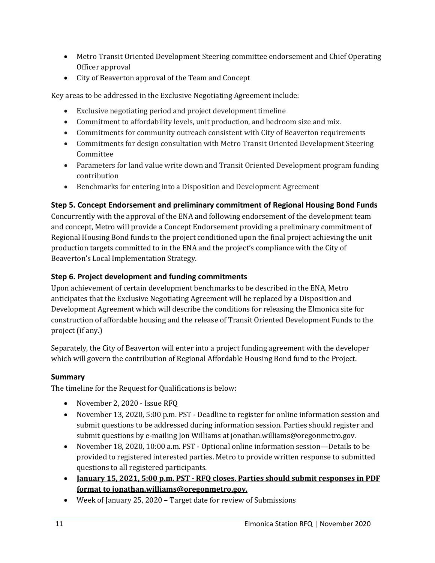- Metro Transit Oriented Development Steering committee endorsement and Chief Operating Officer approval
- City of Beaverton approval of the Team and Concept

Key areas to be addressed in the Exclusive Negotiating Agreement include:

- Exclusive negotiating period and project development timeline
- Commitment to affordability levels, unit production, and bedroom size and mix.
- Commitments for community outreach consistent with City of Beaverton requirements
- Commitments for design consultation with Metro Transit Oriented Development Steering Committee
- Parameters for land value write down and Transit Oriented Development program funding contribution
- Benchmarks for entering into a Disposition and Development Agreement

# **Step 5. Concept Endorsement and preliminary commitment of Regional Housing Bond Funds**

Concurrently with the approval of the ENA and following endorsement of the development team and concept, Metro will provide a Concept Endorsement providing a preliminary commitment of Regional Housing Bond funds to the project conditioned upon the final project achieving the unit production targets committed to in the ENA and the project's compliance with the City of Beaverton's Local Implementation Strategy.

# **Step 6. Project development and funding commitments**

Upon achievement of certain development benchmarks to be described in the ENA, Metro anticipates that the Exclusive Negotiating Agreement will be replaced by a Disposition and Development Agreement which will describe the conditions for releasing the Elmonica site for construction of affordable housing and the release of Transit Oriented Development Funds to the project (if any.)

Separately, the City of Beaverton will enter into a project funding agreement with the developer which will govern the contribution of Regional Affordable Housing Bond fund to the Project.

### **Summary**

The timeline for the Request for Qualifications is below:

- November 2, 2020 Issue RFQ
- November 13, 2020, 5:00 p.m. PST Deadline to register for online information session and submit questions to be addressed during information session. Parties should register and submit questions by e-mailing Jon Williams at jonathan.williams@oregonmetro.gov.
- November 18, 2020, 10:00 a.m. PST Optional online information session—Details to be provided to registered interested parties. Metro to provide written response to submitted questions to all registered participants.
- **January 15, 2021, 5:00 p.m. PST - RFQ closes. Parties should submit responses in PDF format to jonathan.williams@oregonmetro.gov.**
- Week of January 25, 2020 Target date for review of Submissions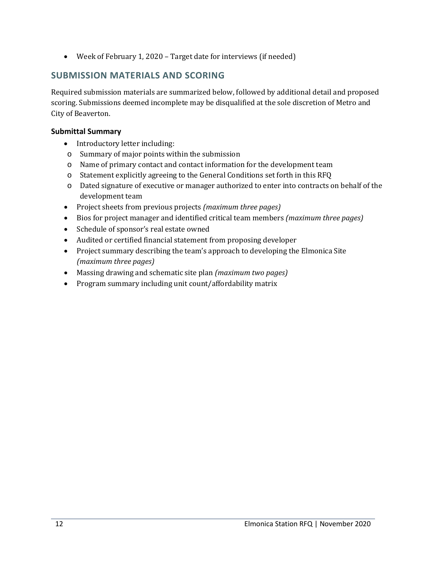• Week of February 1, 2020 – Target date for interviews (if needed)

# <span id="page-15-0"></span>**SUBMISSION MATERIALS AND SCORING**

Required submission materials are summarized below, followed by additional detail and proposed scoring. Submissions deemed incomplete may be disqualified at the sole discretion of Metro and City of Beaverton.

#### **Submittal Summary**

- Introductory letter including:
- o Summary of major points within the submission
- o Name of primary contact and contact information for the development team
- o Statement explicitly agreeing to the General Conditions set forth in this RFQ
- o Dated signature of executive or manager authorized to enter into contracts on behalf of the development team
- Project sheets from previous projects *(maximum three pages)*
- Bios for project manager and identified critical team members *(maximum three pages)*
- Schedule of sponsor's real estate owned
- Audited or certified financial statement from proposing developer
- Project summary describing the team's approach to developing the Elmonica Site *(maximum three pages)*
- Massing drawing and schematic site plan *(maximum two pages)*
- Program summary including unit count/affordability matrix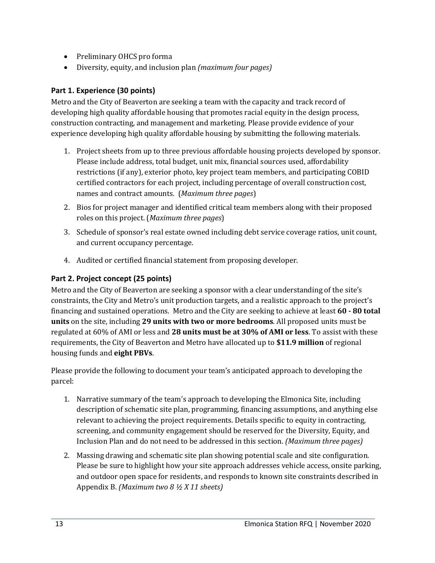- Preliminary OHCS pro forma
- Diversity, equity, and inclusion plan *(maximum four pages)*

#### **Part 1. Experience (30 points)**

Metro and the City of Beaverton are seeking a team with the capacity and track record of developing high quality affordable housing that promotes racial equity in the design process, construction contracting, and management and marketing. Please provide evidence of your experience developing high quality affordable housing by submitting the following materials.

- 1. Project sheets from up to three previous affordable housing projects developed by sponsor. Please include address, total budget, unit mix, financial sources used, affordability restrictions (if any), exterior photo, key project team members, and participating COBID certified contractors for each project, including percentage of overall construction cost, names and contract amounts. (*Maximum three pages*)
- 2. Bios for project manager and identified critical team members along with their proposed roles on this project. (*Maximum three pages*)
- 3. Schedule of sponsor's real estate owned including debt service coverage ratios, unit count, and current occupancy percentage.
- 4. Audited or certified financial statement from proposing developer.

#### **Part 2. Project concept (25 points)**

Metro and the City of Beaverton are seeking a sponsor with a clear understanding of the site's constraints, the City and Metro's unit production targets, and a realistic approach to the project's financing and sustained operations. Metro and the City are seeking to achieve at least **60 - 80 total units** on the site, including **29 units with two or more bedrooms**. All proposed units must be regulated at 60% of AMI or less and **28 units must be at 30% of AMI or less**. To assist with these requirements, the City of Beaverton and Metro have allocated up to **\$11.9 million** of regional housing funds and **eight PBVs**.

Please provide the following to document your team's anticipated approach to developing the parcel:

- 1. Narrative summary of the team's approach to developing the Elmonica Site, including description of schematic site plan, programming, financing assumptions, and anything else relevant to achieving the project requirements. Details specific to equity in contracting, screening, and community engagement should be reserved for the Diversity, Equity, and Inclusion Plan and do not need to be addressed in this section. *(Maximum three pages)*
- 2. Massing drawing and schematic site plan showing potential scale and site configuration. Please be sure to highlight how your site approach addresses vehicle access, onsite parking, and outdoor open space for residents, and responds to known site constraints described in Appendix B. *(Maximum two 8 ½ X 11 sheets)*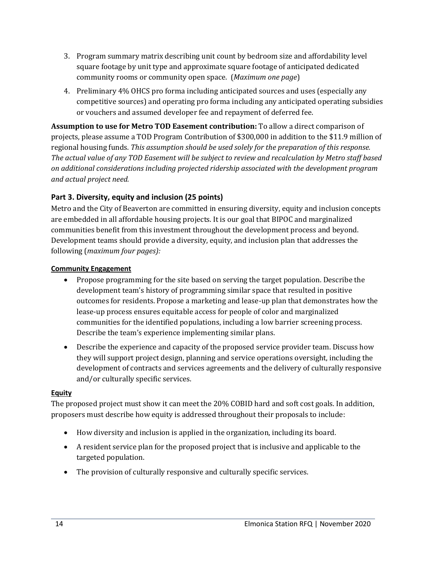- 3. Program summary matrix describing unit count by bedroom size and affordability level square footage by unit type and approximate square footage of anticipated dedicated community rooms or community open space. (*Maximum one page*)
- 4. Preliminary 4% OHCS pro forma including anticipated sources and uses (especially any competitive sources) and operating pro forma including any anticipated operating subsidies or vouchers and assumed developer fee and repayment of deferred fee.

**Assumption to use for Metro TOD Easement contribution:** To allow a direct comparison of projects, please assume a TOD Program Contribution of \$300,000 in addition to the \$11.9 million of regional housing funds. *This assumption should be used solely for the preparation of this response. The actual value of any TOD Easement will be subject to review and recalculation by Metro staff based on additional considerations including projected ridership associated with the development program and actual project need.*

# **Part 3. Diversity, equity and inclusion (25 points)**

Metro and the City of Beaverton are committed in ensuring diversity, equity and inclusion concepts are embedded in all affordable housing projects. It is our goal that BIPOC and marginalized communities benefit from this investment throughout the development process and beyond. Development teams should provide a diversity, equity, and inclusion plan that addresses the following (*maximum four pages):*

### **Community Engagement**

- Propose programming for the site based on serving the target population. Describe the development team's history of programming similar space that resulted in positive outcomes for residents. Propose a marketing and lease-up plan that demonstrates how the lease-up process ensures equitable access for people of color and marginalized communities for the identified populations, including a low barrier screening process. Describe the team's experience implementing similar plans.
- Describe the experience and capacity of the proposed service provider team. Discuss how they will support project design, planning and service operations oversight, including the development of contracts and services agreements and the delivery of culturally responsive and/or culturally specific services.

#### **Equity**

The proposed project must show it can meet the 20% COBID hard and soft cost goals. In addition, proposers must describe how equity is addressed throughout their proposals to include:

- How diversity and inclusion is applied in the organization, including its board.
- A resident service plan for the proposed project that is inclusive and applicable to the targeted population.
- The provision of culturally responsive and culturally specific services.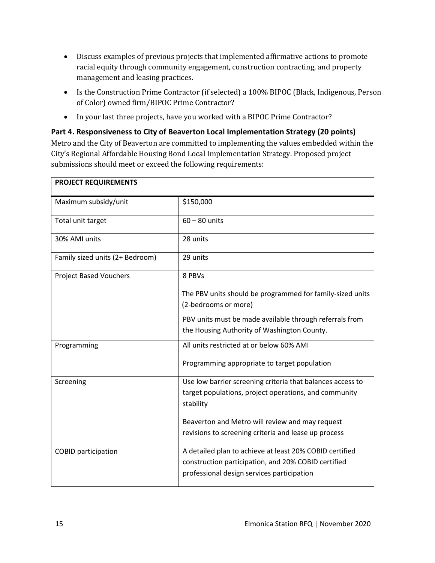- Discuss examples of previous projects that implemented affirmative actions to promote racial equity through community engagement, construction contracting, and property management and leasing practices.
- Is the Construction Prime Contractor (if selected) a 100% BIPOC (Black, Indigenous, Person of Color) owned firm/BIPOC Prime Contractor?
- In your last three projects, have you worked with a BIPOC Prime Contractor?

#### **Part 4. Responsiveness to City of Beaverton Local Implementation Strategy (20 points)**

Metro and the City of Beaverton are committed to implementing the values embedded within the City's Regional Affordable Housing Bond Local Implementation Strategy. Proposed project submissions should meet or exceed the following requirements:

| <b>PROJECT REQUIREMENTS</b>     |                                                                                   |
|---------------------------------|-----------------------------------------------------------------------------------|
| Maximum subsidy/unit            | \$150,000                                                                         |
| Total unit target               | $60 - 80$ units                                                                   |
| 30% AMI units                   | 28 units                                                                          |
| Family sized units (2+ Bedroom) | 29 units                                                                          |
| <b>Project Based Vouchers</b>   | 8 PBVs                                                                            |
|                                 | The PBV units should be programmed for family-sized units<br>(2-bedrooms or more) |
|                                 | PBV units must be made available through referrals from                           |
|                                 | the Housing Authority of Washington County.                                       |
| Programming                     | All units restricted at or below 60% AMI                                          |
|                                 | Programming appropriate to target population                                      |
| Screening                       | Use low barrier screening criteria that balances access to                        |
|                                 | target populations, project operations, and community<br>stability                |
|                                 | Beaverton and Metro will review and may request                                   |
|                                 | revisions to screening criteria and lease up process                              |
| <b>COBID participation</b>      | A detailed plan to achieve at least 20% COBID certified                           |
|                                 | construction participation, and 20% COBID certified                               |
|                                 | professional design services participation                                        |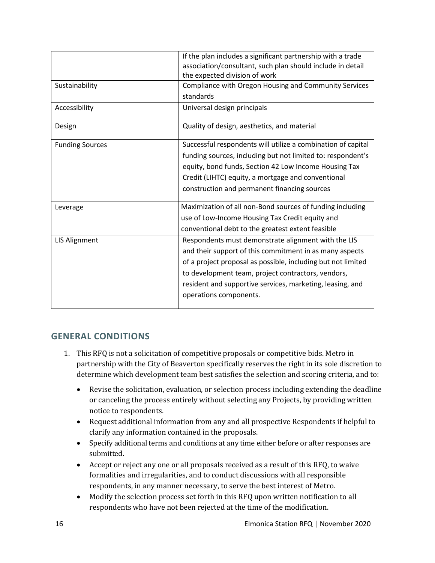|                        | If the plan includes a significant partnership with a trade<br>association/consultant, such plan should include in detail<br>the expected division of work |
|------------------------|------------------------------------------------------------------------------------------------------------------------------------------------------------|
| Sustainability         | Compliance with Oregon Housing and Community Services                                                                                                      |
|                        | standards                                                                                                                                                  |
| Accessibility          | Universal design principals                                                                                                                                |
| Design                 | Quality of design, aesthetics, and material                                                                                                                |
| <b>Funding Sources</b> | Successful respondents will utilize a combination of capital                                                                                               |
|                        | funding sources, including but not limited to: respondent's                                                                                                |
|                        | equity, bond funds, Section 42 Low Income Housing Tax                                                                                                      |
|                        | Credit (LIHTC) equity, a mortgage and conventional                                                                                                         |
|                        | construction and permanent financing sources                                                                                                               |
| Leverage               | Maximization of all non-Bond sources of funding including                                                                                                  |
|                        | use of Low-Income Housing Tax Credit equity and                                                                                                            |
|                        | conventional debt to the greatest extent feasible                                                                                                          |
| <b>LIS Alignment</b>   | Respondents must demonstrate alignment with the LIS                                                                                                        |
|                        | and their support of this commitment in as many aspects                                                                                                    |
|                        | of a project proposal as possible, including but not limited                                                                                               |
|                        | to development team, project contractors, vendors,                                                                                                         |
|                        | resident and supportive services, marketing, leasing, and                                                                                                  |
|                        | operations components.                                                                                                                                     |
|                        |                                                                                                                                                            |

# <span id="page-19-0"></span>**GENERAL CONDITIONS**

- 1. This RFQ is not a solicitation of competitive proposals or competitive bids. Metro in partnership with the City of Beaverton specifically reserves the right in its sole discretion to determine which development team best satisfies the selection and scoring criteria, and to:
	- Revise the solicitation, evaluation, or selection process including extending the deadline or canceling the process entirely without selecting any Projects, by providing written notice to respondents.
	- Request additional information from any and all prospective Respondents if helpful to clarify any information contained in the proposals.
	- Specify additional terms and conditions at any time either before or after responses are submitted.
	- Accept or reject any one or all proposals received as a result of this RFQ, to waive formalities and irregularities, and to conduct discussions with all responsible respondents, in any manner necessary, to serve the best interest of Metro.
	- Modify the selection process set forth in this RFQ upon written notification to all respondents who have not been rejected at the time of the modification.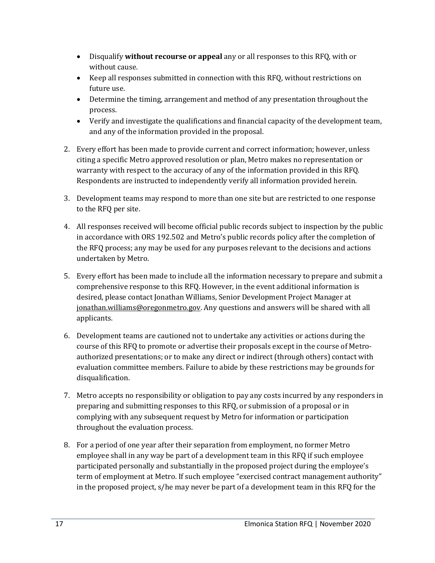- Disqualify **without recourse or appeal** any or all responses to this RFQ, with or without cause.
- Keep all responses submitted in connection with this RFQ, without restrictions on future use.
- Determine the timing, arrangement and method of any presentation throughout the process.
- Verify and investigate the qualifications and financial capacity of the development team, and any of the information provided in the proposal.
- 2. Every effort has been made to provide current and correct information; however, unless citing a specific Metro approved resolution or plan, Metro makes no representation or warranty with respect to the accuracy of any of the information provided in this RFQ. Respondents are instructed to independently verify all information provided herein.
- 3. Development teams may respond to more than one site but are restricted to one response to the RFQ per site.
- 4. All responses received will become official public records subject to inspection by the public in accordance with ORS 192.502 and Metro's public records policy after the completion of the RFQ process; any may be used for any purposes relevant to the decisions and actions undertaken by Metro.
- 5. Every effort has been made to include all the information necessary to prepare and submit a comprehensive response to this RFQ. However, in the event additional information is desired, please contact Jonathan Williams, Senior Development Project Manager at [jonathan.williams@oregonmetro.gov.](mailto:jonathan.williams@oregonmetro.gov) Any questions and answers will be shared with all applicants.
- 6. Development teams are cautioned not to undertake any activities or actions during the course of this RFQ to promote or advertise their proposals except in the course of Metroauthorized presentations; or to make any direct or indirect (through others) contact with evaluation committee members. Failure to abide by these restrictions may be grounds for disqualification.
- 7. Metro accepts no responsibility or obligation to pay any costs incurred by any responders in preparing and submitting responses to this RFQ, or submission of a proposal or in complying with any subsequent request by Metro for information or participation throughout the evaluation process.
- 8. For a period of one year after their separation from employment, no former Metro employee shall in any way be part of a development team in this RFQ if such employee participated personally and substantially in the proposed project during the employee's term of employment at Metro. If such employee "exercised contract management authority" in the proposed project, s/he may never be part of a development team in this RFQ for the